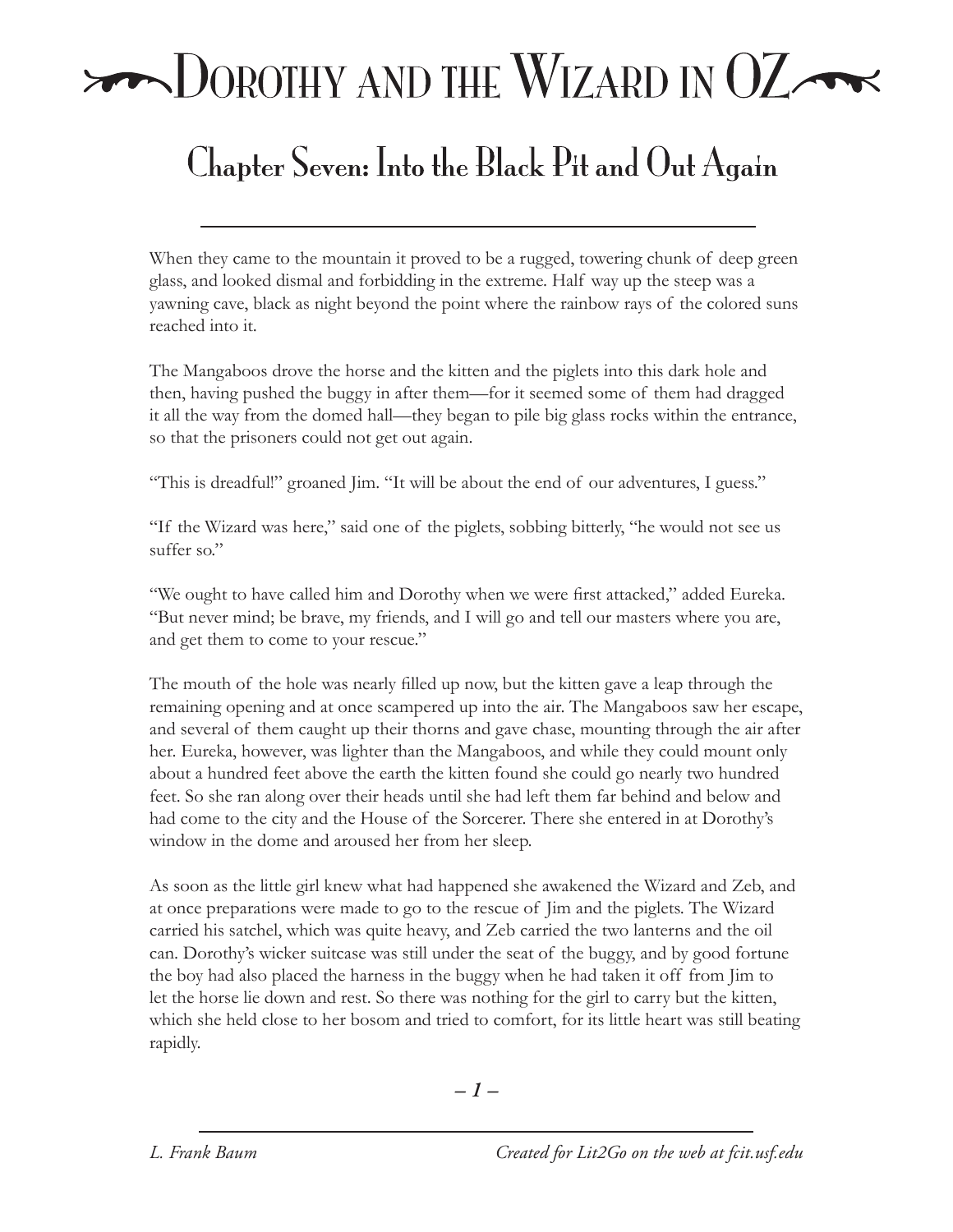## $\rightarrow$  DOROTHY AND THE WIZARD IN  $OZ \rightarrow$

## Chapter Seven: Into the Black Pit and Out Again

When they came to the mountain it proved to be a rugged, towering chunk of deep green glass, and looked dismal and forbidding in the extreme. Half way up the steep was a yawning cave, black as night beyond the point where the rainbow rays of the colored suns reached into it.

The Mangaboos drove the horse and the kitten and the piglets into this dark hole and then, having pushed the buggy in after them—for it seemed some of them had dragged it all the way from the domed hall—they began to pile big glass rocks within the entrance, so that the prisoners could not get out again.

"This is dreadful!" groaned Jim. "It will be about the end of our adventures, I guess."

"If the Wizard was here," said one of the piglets, sobbing bitterly, "he would not see us suffer so."

"We ought to have called him and Dorothy when we were first attacked," added Eureka. "But never mind; be brave, my friends, and I will go and tell our masters where you are, and get them to come to your rescue."

The mouth of the hole was nearly filled up now, but the kitten gave a leap through the remaining opening and at once scampered up into the air. The Mangaboos saw her escape, and several of them caught up their thorns and gave chase, mounting through the air after her. Eureka, however, was lighter than the Mangaboos, and while they could mount only about a hundred feet above the earth the kitten found she could go nearly two hundred feet. So she ran along over their heads until she had left them far behind and below and had come to the city and the House of the Sorcerer. There she entered in at Dorothy's window in the dome and aroused her from her sleep.

As soon as the little girl knew what had happened she awakened the Wizard and Zeb, and at once preparations were made to go to the rescue of Jim and the piglets. The Wizard carried his satchel, which was quite heavy, and Zeb carried the two lanterns and the oil can. Dorothy's wicker suitcase was still under the seat of the buggy, and by good fortune the boy had also placed the harness in the buggy when he had taken it off from Jim to let the horse lie down and rest. So there was nothing for the girl to carry but the kitten, which she held close to her bosom and tried to comfort, for its little heart was still beating rapidly.

*– –*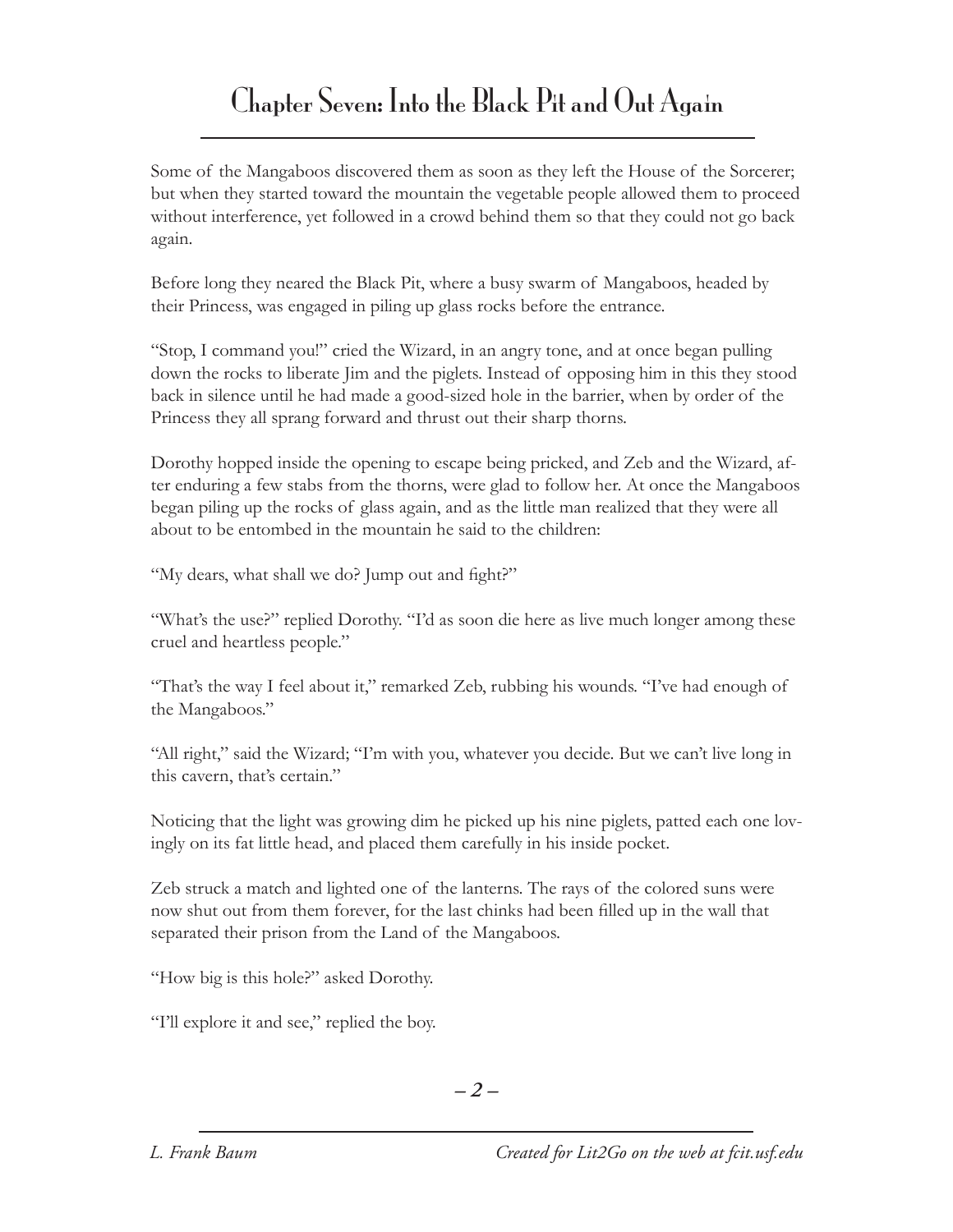## Chapter Seven: Into the Black Pit and Out Again

Some of the Mangaboos discovered them as soon as they left the House of the Sorcerer; but when they started toward the mountain the vegetable people allowed them to proceed without interference, yet followed in a crowd behind them so that they could not go back again.

Before long they neared the Black Pit, where a busy swarm of Mangaboos, headed by their Princess, was engaged in piling up glass rocks before the entrance.

"Stop, I command you!" cried the Wizard, in an angry tone, and at once began pulling down the rocks to liberate Jim and the piglets. Instead of opposing him in this they stood back in silence until he had made a good-sized hole in the barrier, when by order of the Princess they all sprang forward and thrust out their sharp thorns.

Dorothy hopped inside the opening to escape being pricked, and Zeb and the Wizard, after enduring a few stabs from the thorns, were glad to follow her. At once the Mangaboos began piling up the rocks of glass again, and as the little man realized that they were all about to be entombed in the mountain he said to the children:

"My dears, what shall we do? Jump out and fight?"

"What's the use?" replied Dorothy. "I'd as soon die here as live much longer among these cruel and heartless people."

"That's the way I feel about it," remarked Zeb, rubbing his wounds. "I've had enough of the Mangaboos."

"All right," said the Wizard; "I'm with you, whatever you decide. But we can't live long in this cavern, that's certain."

Noticing that the light was growing dim he picked up his nine piglets, patted each one lovingly on its fat little head, and placed them carefully in his inside pocket.

Zeb struck a match and lighted one of the lanterns. The rays of the colored suns were now shut out from them forever, for the last chinks had been filled up in the wall that separated their prison from the Land of the Mangaboos.

"How big is this hole?" asked Dorothy.

"I'll explore it and see," replied the boy.

*– –*